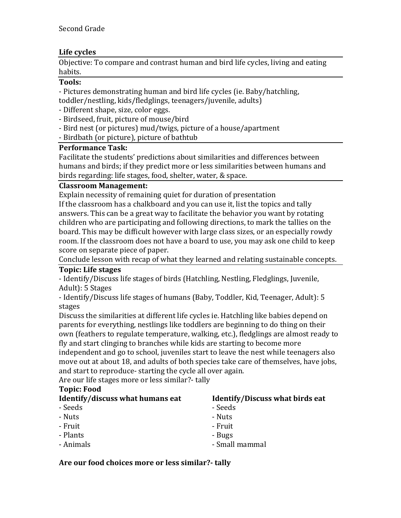# Life cycles

Objective: To compare and contrast human and bird life cycles, living and eating habits.

#### **Tools:**

- Pictures demonstrating human and bird life cycles (ie. Baby/hatchling, toddler/nestling, kids/fledglings, teenagers/juvenile, adults)

- Different shape, size, color eggs.
- Birdseed, fruit, picture of mouse/bird
- Bird nest (or pictures) mud/twigs, picture of a house/apartment
- Birdbath (or picture), picture of bathtub

### **Performance Task:**

Facilitate the students' predictions about similarities and differences between humans and birds; if they predict more or less similarities between humans and birds regarding: life stages, food, shelter, water, & space.

#### **Classroom%Management:**

Explain necessity of remaining quiet for duration of presentation

If the classroom has a chalkboard and you can use it, list the topics and tally answers. This can be a great way to facilitate the behavior you want by rotating children who are participating and following directions, to mark the tallies on the board. This may be difficult however with large class sizes, or an especially rowdy room. If the classroom does not have a board to use, you may ask one child to keep score on separate piece of paper.

Conclude lesson with recap of what they learned and relating sustainable concepts.

# **Topic: Life stages**

- Identify/Discuss life stages of birds (Hatchling, Nestling, Fledglings, Juvenile, Adult): 5 Stages

- Identify/Discuss life stages of humans (Baby, Toddler, Kid, Teenager, Adult): 5 stages

Discuss the similarities at different life cycles ie. Hatchling like babies depend on parents for everything, nestlings like toddlers are beginning to do thing on their own (feathers to regulate temperature, walking, etc.), fledglings are almost ready to fly and start clinging to branches while kids are starting to become more

independent and go to school, juveniles start to leave the nest while teenagers also move out at about 18, and adults of both species take care of themselves, have jobs, and start to reproduce- starting the cycle all over again.

Are our life stages more or less similar? tally

# **Topic: Food**

# **Identify/discuss what humans eat**

- > Seeds
- > Nuts
- > Fruit
- > Plants
- > Animals

**Identify/Discuss what birds eat** 

- > Seeds
- > Nuts
- > Fruit
- > Bugs
- > Small'mammal

#### Are our food choices more or less similar?- tally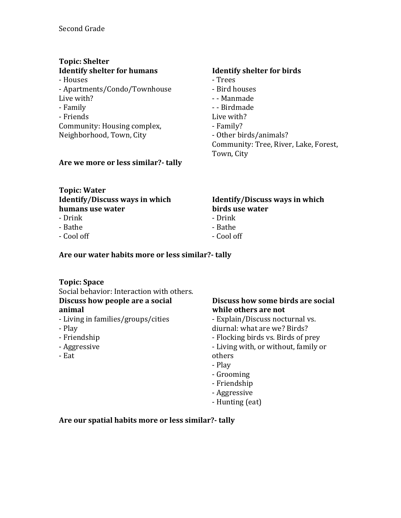# **Topic: Shelter Identify shelter for humans**

> Houses > Apartments/Condo/Townhouse Live with? > Family > Friends Community: Housing complex, Neighborhood, Town, City

#### Are we more or less similar?- tally

# **Identify shelter for birds**

> Trees > Bird'houses > > Manmade > > Birdmade Live with? > Family?

- Other birds/animals? Community: Tree, River, Lake, Forest, Town, City

#### **Topic:%Water Identify/Discuss ways in which humans use%water**

- > Drink
- > Bathe
- > Cool'off

#### **Identify/Discuss ways in which birds use%water**

- > Drink
- > Bathe
- > Cool'off

# Are our water habits more or less similar?- tally

# **Topic: Space**

Social behavior: Interaction with others. **Discuss how people are a social** 

# **animal**

- Living in families/groups/cities
- > Play
- > Friendship
- > Aggressive
- > Eat

# **Discuss how some birds are social** while others are not

- Explain/Discuss nocturnal vs. diurnal: what are we? Birds?

- Flocking birds vs. Birds of prey
- Living with, or without, family or

others

- > Play
- > Grooming > Friendship
- > Aggressive
- Hunting (eat)

# Are our spatial habits more or less similar?- tally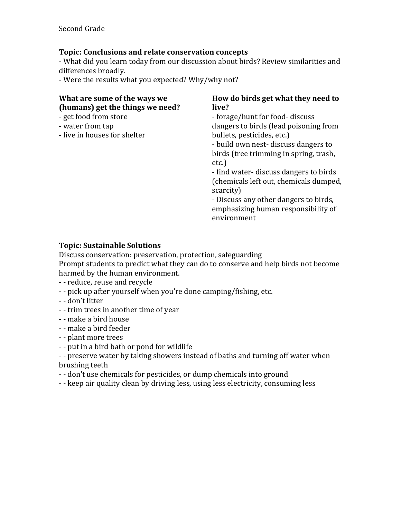## Topic: Conclusions and relate conservation concepts

- What did you learn today from our discussion about birds? Review similarities and differences broadly.

- Were the results what you expected? Why/why not?

| What are some of the ways we<br>(humans) get the things we need?<br>- get food from store | How do birds get what they need to<br>live?<br>- forage/hunt for food- discuss                                                                                                                         |
|-------------------------------------------------------------------------------------------|--------------------------------------------------------------------------------------------------------------------------------------------------------------------------------------------------------|
| - water from tap<br>- live in houses for shelter                                          | dangers to birds (lead poisoning from<br>bullets, pesticides, etc.)<br>- build own nest-discuss dangers to<br>birds (tree trimming in spring, trash,<br>etc.<br>- find water- discuss dangers to birds |
|                                                                                           | (chemicals left out, chemicals dumped,<br>scarcity)<br>- Discuss any other dangers to birds,<br>emphasizing human responsibility of<br>environment                                                     |

### **Topic: Sustainable Solutions**

Discuss conservation: preservation, protection, safeguarding

Prompt students to predict what they can do to conserve and help birds not become harmed by the human environment.

- - reduce, reuse and recycle

- pick up after yourself when you're done camping/fishing, etc.
- - don't litter
- - trim trees in another time of year
- > > make'a'bird'house
- - make a bird feeder
- - plant more trees
- put in a bird bath or pond for wildlife

- - preserve water by taking showers instead of baths and turning off water when brushing teeth

- - don't use chemicals for pesticides, or dump chemicals into ground

- keep air quality clean by driving less, using less electricity, consuming less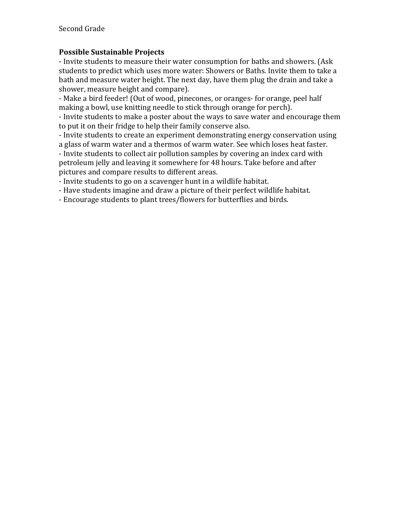# **Possible Sustainable%Projects**

- Invite students to measure their water consumption for baths and showers. (Ask students to predict which uses more water: Showers or Baths. Invite them to take a bath and measure water height. The next day, have them plug the drain and take a shower, measure height and compare).

- Make a bird feeder! (Out of wood, pinecones, or oranges- for orange, peel half making a bowl, use knitting needle to stick through orange for perch).

- Invite students to make a poster about the ways to save water and encourage them to put it on their fridge to help their family conserve also.

- Invite students to create an experiment demonstrating energy conservation using a glass of warm water and a thermos of warm water. See which loses heat faster.

- Invite students to collect air pollution samples by covering an index card with

petroleum jelly and leaving it somewhere for 48 hours. Take before and after pictures and compare results to different areas.

- Invite students to go on a scavenger hunt in a wildlife habitat.

- Have students imagine and draw a picture of their perfect wildlife habitat.

- Encourage students to plant trees/flowers for butterflies and birds.